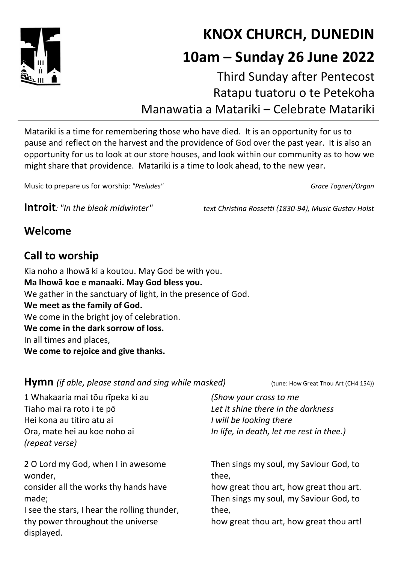

# KNOX CHURCH, DUNEDIN

# 10am – Sunday 26 June 2022

Third Sunday after Pentecost Ratapu tuatoru o te Petekoha Manawatia a Matariki – Celebrate Matariki

Matariki is a time for remembering those who have died. It is an opportunity for us to pause and reflect on the harvest and the providence of God over the past year. It is also an opportunity for us to look at our store houses, and look within our community as to how we might share that providence. Matariki is a time to look ahead, to the new year.

Music to prepare us for worship: "Preludes" Grace Togneri/Organ

**Introit**: "In the bleak midwinter" text Christina Rossetti (1830-94), Music Gustav Holst

# Welcome

# Call to worship

Kia noho a Ihowā ki a koutou. May God be with you. Ma lhowā koe e manaaki. May God bless you. We gather in the sanctuary of light, in the presence of God. We meet as the family of God. We come in the bright joy of celebration. We come in the dark sorrow of loss. In all times and places, We come to rejoice and give thanks.

**Hymn** (if able, please stand and sing while masked)  $(1 + \mu)$  (tune: How Great Thou Art (CH4 154)) 1 Whakaaria mai tōu rīpeka ki au Tiaho mai ra roto i te pō Hei kona au titiro atu ai Ora, mate hei au koe noho ai (repeat verse) 2 O Lord my God, when I in awesome wonder, consider all the works thy hands have made; I see the stars, I hear the rolling thunder, thy power throughout the universe displayed. (Show your cross to me Let it shine there in the darkness I will be looking there In life, in death, let me rest in thee.) Then sings my soul, my Saviour God, to thee, how great thou art, how great thou art. Then sings my soul, my Saviour God, to thee, how great thou art, how great thou art!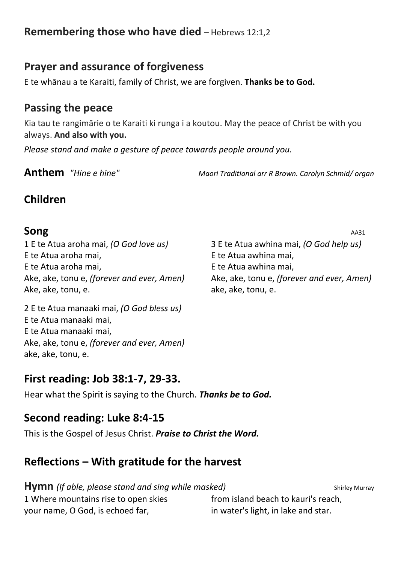### Remembering those who have died - Hebrews 12:1,2

#### Prayer and assurance of forgiveness

E te whānau a te Karaiti, family of Christ, we are forgiven. Thanks be to God.

#### Passing the peace

Kia tau te rangimārie o te Karaiti ki runga i a koutou. May the peace of Christ be with you always. And also with you.

Please stand and make a gesture of peace towards people around you.

Anthem "Hine e hine" Maori Traditional arr R Brown. Carolyn Schmid/ organ

### Children

1 E te Atua aroha mai, (O God love us) E te Atua aroha mai, E te Atua aroha mai, Ake, ake, tonu e, (forever and ever, Amen) Ake, ake, tonu, e.

 $\mathsf{Song}$  and  $\mathsf{A}^{AA31}$ 3 E te Atua awhina mai, (O God help us) E te Atua awhina mai, E te Atua awhina mai, Ake, ake, tonu e, (forever and ever, Amen) ake, ake, tonu, e.

2 E te Atua manaaki mai, (O God bless us) E te Atua manaaki mai, E te Atua manaaki mai, Ake, ake, tonu e, (forever and ever, Amen) ake, ake, tonu, e.

#### First reading: Job 38:1-7, 29-33.

Hear what the Spirit is saying to the Church. Thanks be to God.

#### Second reading: Luke 8:4-15

This is the Gospel of Jesus Christ. Praise to Christ the Word.

#### Reflections – With gratitude for the harvest

**Hymn** (If able, please stand and sing while masked) Shirley Murray

1 Where mountains rise to open skies your name, O God, is echoed far,

from island beach to kauri's reach, in water's light, in lake and star.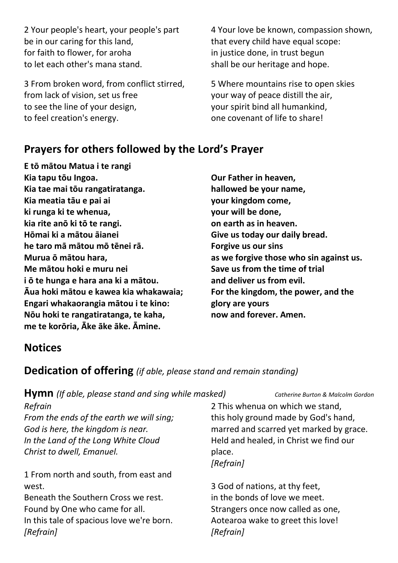2 Your people's heart, your people's part be in our caring for this land, for faith to flower, for aroha to let each other's mana stand.

3 From broken word, from conflict stirred, from lack of vision, set us free to see the line of your design, to feel creation's energy.

4 Your love be known, compassion shown, that every child have equal scope: in justice done, in trust begun shall be our heritage and hope.

5 Where mountains rise to open skies your way of peace distill the air, your spirit bind all humankind, one covenant of life to share!

#### Prayers for others followed by the Lord's Prayer

E tō mātou Matua i te rangi Kia tapu tōu Ingoa. Kia tae mai tōu rangatiratanga. Kia meatia tāu e pai ai ki runga ki te whenua, kia rite anō ki tō te rangi. Hōmai ki a mātou āianei he taro mā mātou mō tēnei rā. Murua ō mātou hara, Me mātou hoki e muru nei i ō te hunga e hara ana ki a mātou. Āua hoki mātou e kawea kia whakawaia; Engari whakaorangia mātou i te kino: Nōu hoki te rangatiratanga, te kaha, me te korōria, Āke āke āke. Āmine.

Our Father in heaven, hallowed be your name, your kingdom come, your will be done, on earth as in heaven. Give us today our daily bread. Forgive us our sins as we forgive those who sin against us. Save us from the time of trial and deliver us from evil. For the kingdom, the power, and the glory are yours now and forever. Amen.

#### Notices

#### Dedication of offering (if able, please stand and remain standing)

**Hymn** (If able, please stand and sing while masked) Catherine Burton & Malcolm Gordon Refrain From the ends of the earth we will sing; God is here, the kingdom is near. In the Land of the Long White Cloud Christ to dwell, Emanuel.

1 From north and south, from east and west.

Beneath the Southern Cross we rest. Found by One who came for all. In this tale of spacious love we're born. [Refrain]

2 This whenua on which we stand, this holy ground made by God's hand, marred and scarred yet marked by grace. Held and healed, in Christ we find our place. [Refrain]

3 God of nations, at thy feet, in the bonds of love we meet. Strangers once now called as one, Aotearoa wake to greet this love! [Refrain]